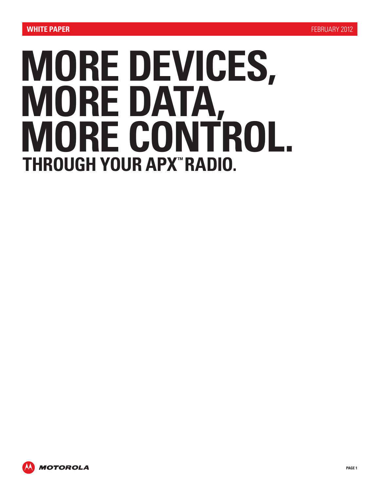# **MORE DEVICES, MORE DATA, MORE CONTROL. THROUGH YOUR APX™ RADIO.**

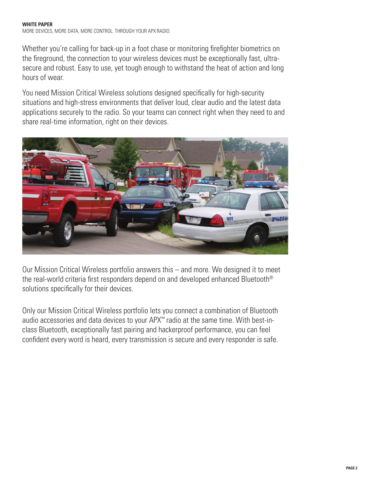#### **WHITE PAPER**

MORE DEVICES, MORE DATA, MORE CONTROL. THROUGH YOUR APX RADIO.

Whether you're calling for back-up in a foot chase or monitoring firefighter biometrics on the fireground, the connection to your wireless devices must be exceptionally fast, ultrasecure and robust. Easy to use, yet tough enough to withstand the heat of action and long hours of wear.

You need Mission Critical Wireless solutions designed specifically for high-security situations and high-stress environments that deliver loud, clear audio and the latest data applications securely to the radio. So your teams can connect right when they need to and share real-time information, right on their devices.



Our Mission Critical Wireless portfolio answers this – and more. We designed it to meet the real-world criteria first responders depend on and developed enhanced Bluetooth® solutions specifically for their devices.

Only our Mission Critical Wireless portfolio lets you connect a combination of Bluetooth audio accessories and data devices to your APX™ radio at the same time. With best-inclass Bluetooth, exceptionally fast pairing and hackerproof performance, you can feel confident every word is heard, every transmission is secure and every responder is safe.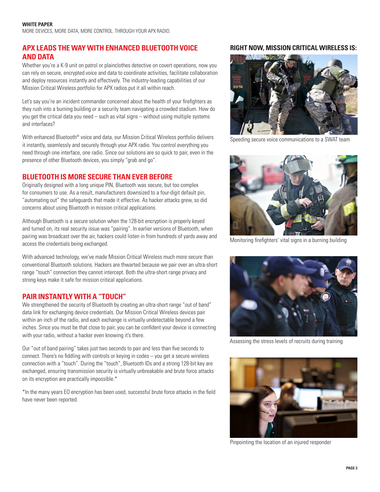MORE DEVICES, MORE DATA, MORE CONTROL. THROUGH YOUR APX RADIO.

# **APX LEADS THE WAY WITH ENHANCED BLUETOOTH VOICE AND DATA**

Whether you're a K-9 unit on patrol or plainclothes detective on covert operations, now you can rely on secure, encrypted voice and data to coordinate activities, facilitate collaboration and deploy resources instantly and effectively. The industry-leading capabilities of our Mission Critical Wireless portfolio for APX radios put it all within reach.

Let's say you're an incident commander concerned about the health of your firefighters as they rush into a burning building or a security team navigating a crowded stadium. How do you get the critical data you need – such as vital signs – without using multiple systems and interfaces?

With enhanced Bluetooth® voice and data, our Mission Critical Wireless portfolio delivers it instantly, seamlessly and securely through your APX radio. You control everything you need through one interface, one radio. Since our solutions are so quick to pair, even in the presence of other Bluetooth devices, you simply "grab and go".

# **BLUETOOTH IS MORE SECURE THAN EVER BEFORE**

Originally designed with a long unique PIN, Bluetooth was secure, but too complex for consumers to use. As a result, manufacturers downsized to a four-digit default pin, "automating out" the safeguards that made it effective. As hacker attacks grew, so did concerns about using Bluetooth in mission critical applications.

Although Bluetooth is a secure solution when the 128-bit encryption is properly keyed and turned on, its real security issue was "pairing". In earlier versions of Bluetooth, when pairing was broadcast over the air, hackers could listen in from hundreds of yards away and access the credentials being exchanged.

With advanced technology, we've made Mission Critical Wireless much more secure than conventional Bluetooth solutions. Hackers are thwarted because we pair over an ultra-short range "touch" connection they cannot intercept. Both the ultra-short range privacy and strong keys make it safe for mission critical applications.

# **PAIR INSTANTLY WITH A "TOUCH"**

We strengthened the security of Bluetooth by creating an ultra-short range "out of band" data link for exchanging device credentials. Our Mission Critical Wireless devices pair within an inch of the radio, and each exchange is virtually undetectable beyond a few inches. Since you must be that close to pair, you can be confident your device is connecting with your radio, without a hacker even knowing it's there.

Our "out of band pairing" takes just two seconds to pair and less than five seconds to connect. There's no fiddling with controls or keying in codes – you get a secure wireless connection with a "touch". During the "touch", Bluetooth IDs and a strong 128-bit key are exchanged, ensuring transmission security is virtually unbreakable and brute force attacks on its encryption are practically impossible.\*

\*In the many years EO encryption has been used, successful brute force attacks in the field have never been reported.

## **RIGHT NOW, MISSION CRITICAL WIRELESS IS:**



Speeding secure voice communications to a SWAT team



Monitoring firefighters' vital signs in a burning building



Assessing the stress levels of recruits during training



Pinpointing the location of an injured responder